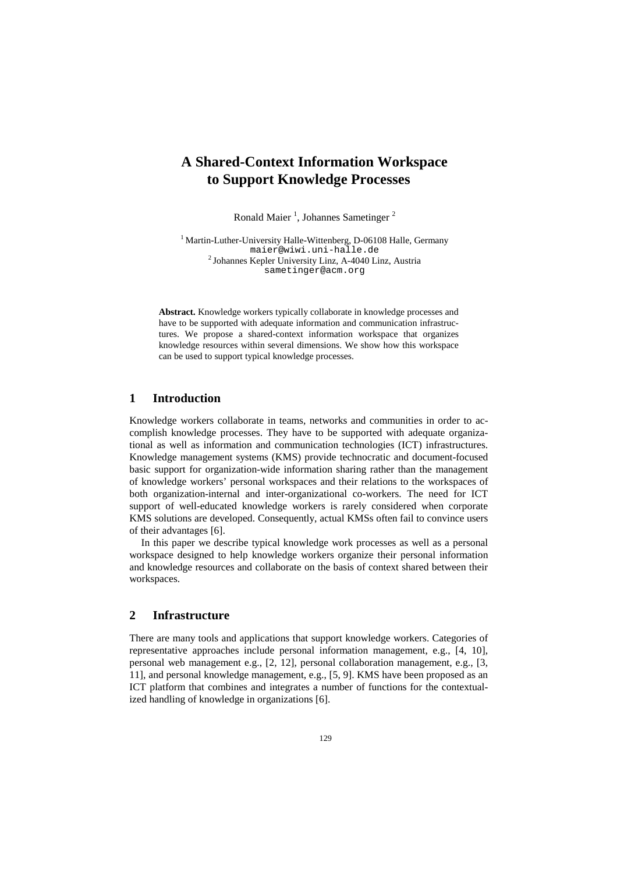# **A Shared-Context Information Workspace to Support Knowledge Processes**

Ronald Maier<sup>1</sup>, Johannes Sametinger<sup>2</sup>

<sup>1</sup> Martin-Luther-University Halle-Wittenberg, D-06108 Halle, Germany maier@wiwi.uni-halle.de <sup>2</sup> Johannes Kepler University Linz, A-4040 Linz, Austria sametinger@acm.org

**Abstract.** Knowledge workers typically collaborate in knowledge processes and have to be supported with adequate information and communication infrastructures. We propose a shared-context information workspace that organizes knowledge resources within several dimensions. We show how this workspace can be used to support typical knowledge processes.

## **1 Introduction**

Knowledge workers collaborate in teams, networks and communities in order to accomplish knowledge processes. They have to be supported with adequate organizational as well as information and communication technologies (ICT) infrastructures. Knowledge management systems (KMS) provide technocratic and document-focused basic support for organization-wide information sharing rather than the management of knowledge workers' personal workspaces and their relations to the workspaces of both organization-internal and inter-organizational co-workers. The need for ICT support of well-educated knowledge workers is rarely considered when corporate KMS solutions are developed. Consequently, actual KMSs often fail to convince users of their advantages [6].

In this paper we describe typical knowledge work processes as well as a personal workspace designed to help knowledge workers organize their personal information and knowledge resources and collaborate on the basis of context shared between their workspaces.

### **2 Infrastructure**

There are many tools and applications that support knowledge workers. Categories of representative approaches include personal information management, e.g., [4, 10], personal web management e.g., [2, 12], personal collaboration management, e.g., [3, 11], and personal knowledge management, e.g., [5, 9]. KMS have been proposed as an ICT platform that combines and integrates a number of functions for the contextualized handling of knowledge in organizations [6].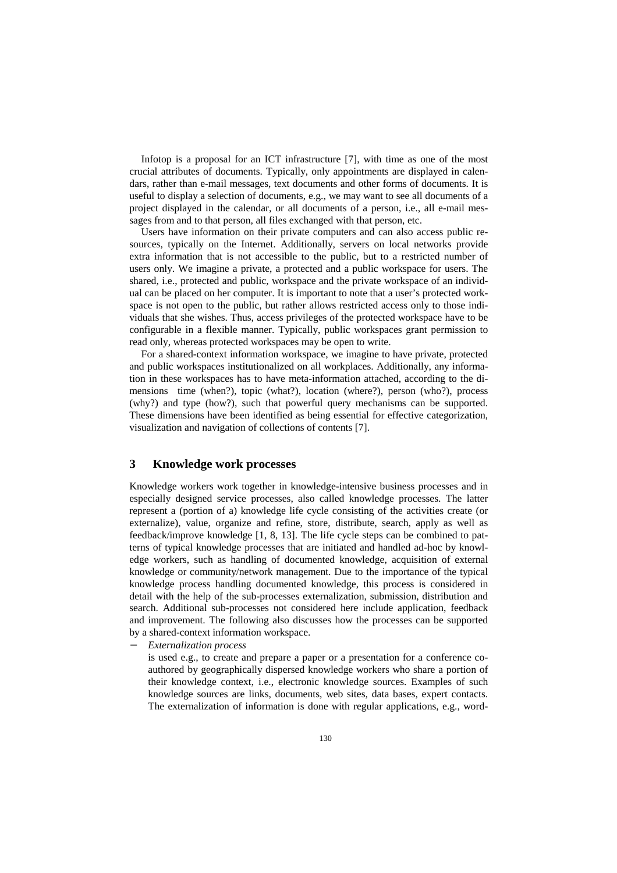Infotop is a proposal for an ICT infrastructure [7], with time as one of the most crucial attributes of documents. Typically, only appointments are displayed in calendars, rather than e-mail messages, text documents and other forms of documents. It is useful to display a selection of documents, e.g., we may want to see all documents of a project displayed in the calendar, or all documents of a person, i.e., all e-mail messages from and to that person, all files exchanged with that person, etc.

Users have information on their private computers and can also access public resources, typically on the Internet. Additionally, servers on local networks provide extra information that is not accessible to the public, but to a restricted number of users only. We imagine a private, a protected and a public workspace for users. The shared, i.e., protected and public, workspace and the private workspace of an individual can be placed on her computer. It is important to note that a user's protected workspace is not open to the public, but rather allows restricted access only to those individuals that she wishes. Thus, access privileges of the protected workspace have to be configurable in a flexible manner. Typically, public workspaces grant permission to read only, whereas protected workspaces may be open to write.

For a shared-context information workspace, we imagine to have private, protected and public workspaces institutionalized on all workplaces. Additionally, any information in these workspaces has to have meta-information attached, according to the dimensions time (when?), topic (what?), location (where?), person (who?), process (why?) and type (how?), such that powerful query mechanisms can be supported. These dimensions have been identified as being essential for effective categorization, visualization and navigation of collections of contents [7].

#### **3 Knowledge work processes**

Knowledge workers work together in knowledge-intensive business processes and in especially designed service processes, also called knowledge processes. The latter represent a (portion of a) knowledge life cycle consisting of the activities create (or externalize), value, organize and refine, store, distribute, search, apply as well as feedback/improve knowledge [1, 8, 13]. The life cycle steps can be combined to patterns of typical knowledge processes that are initiated and handled ad-hoc by knowledge workers, such as handling of documented knowledge, acquisition of external knowledge or community/network management. Due to the importance of the typical knowledge process handling documented knowledge, this process is considered in detail with the help of the sub-processes externalization, submission, distribution and search. Additional sub-processes not considered here include application, feedback and improvement. The following also discusses how the processes can be supported by a shared-context information workspace.

− *Externalization process*

is used e.g., to create and prepare a paper or a presentation for a conference coauthored by geographically dispersed knowledge workers who share a portion of their knowledge context, i.e., electronic knowledge sources. Examples of such knowledge sources are links, documents, web sites, data bases, expert contacts. The externalization of information is done with regular applications, e.g., word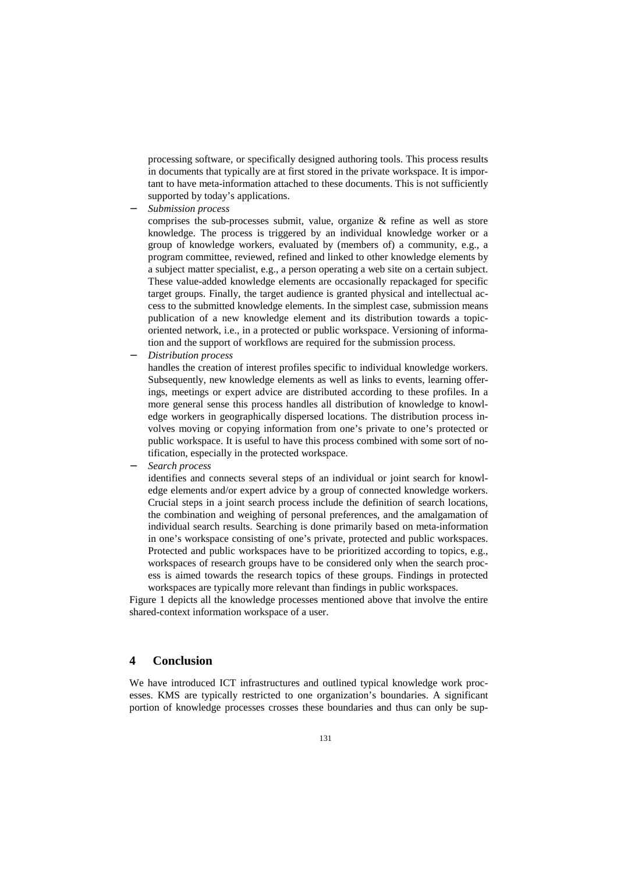processing software, or specifically designed authoring tools. This process results in documents that typically are at first stored in the private workspace. It is important to have meta-information attached to these documents. This is not sufficiently supported by today's applications.

− *Submission process* 

comprises the sub-processes submit, value, organize & refine as well as store knowledge. The process is triggered by an individual knowledge worker or a group of knowledge workers, evaluated by (members of) a community, e.g., a program committee, reviewed, refined and linked to other knowledge elements by a subject matter specialist, e.g., a person operating a web site on a certain subject. These value-added knowledge elements are occasionally repackaged for specific target groups. Finally, the target audience is granted physical and intellectual access to the submitted knowledge elements. In the simplest case, submission means publication of a new knowledge element and its distribution towards a topicoriented network, i.e., in a protected or public workspace. Versioning of information and the support of workflows are required for the submission process.

− *Distribution process* 

handles the creation of interest profiles specific to individual knowledge workers. Subsequently, new knowledge elements as well as links to events, learning offerings, meetings or expert advice are distributed according to these profiles. In a more general sense this process handles all distribution of knowledge to knowledge workers in geographically dispersed locations. The distribution process involves moving or copying information from one's private to one's protected or public workspace. It is useful to have this process combined with some sort of notification, especially in the protected workspace.

− *Search process* 

identifies and connects several steps of an individual or joint search for knowledge elements and/or expert advice by a group of connected knowledge workers. Crucial steps in a joint search process include the definition of search locations, the combination and weighing of personal preferences, and the amalgamation of individual search results. Searching is done primarily based on meta-information in one's workspace consisting of one's private, protected and public workspaces. Protected and public workspaces have to be prioritized according to topics, e.g., workspaces of research groups have to be considered only when the search process is aimed towards the research topics of these groups. Findings in protected workspaces are typically more relevant than findings in public workspaces.

Figure 1 depicts all the knowledge processes mentioned above that involve the entire shared-context information workspace of a user.

### **4 Conclusion**

We have introduced ICT infrastructures and outlined typical knowledge work processes. KMS are typically restricted to one organization's boundaries. A significant portion of knowledge processes crosses these boundaries and thus can only be sup-